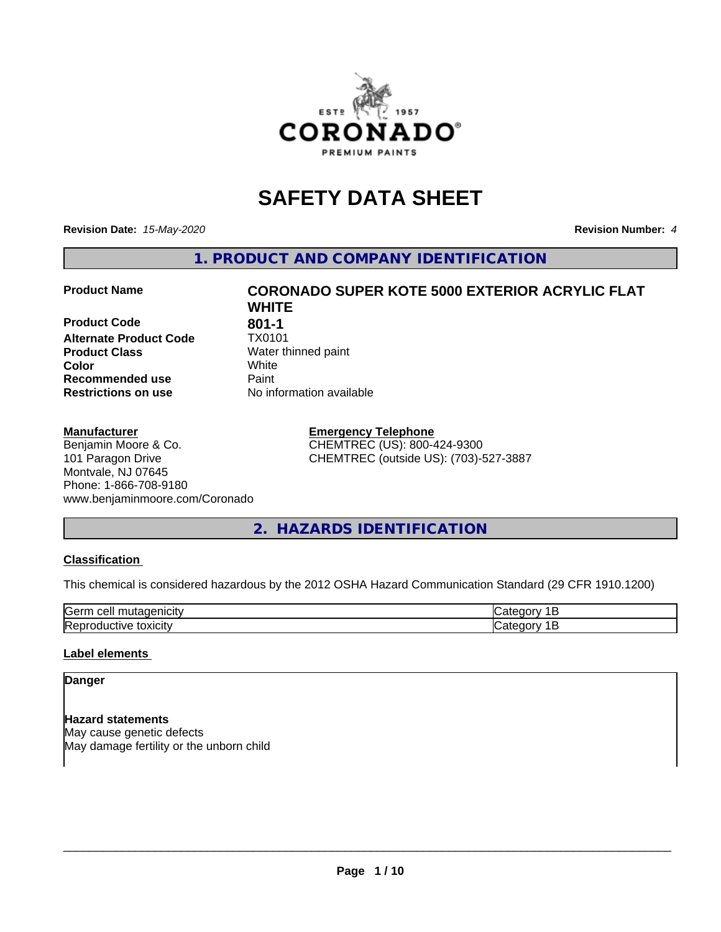

## **SAFETY DATA SHEET**

**Revision Date:** *15-May-2020* **Revision Number:** *4*

**1. PRODUCT AND COMPANY IDENTIFICATION**

**Product Code 601-1**<br>**Alternate Product Code** 7X0101 **Alternate Product Code Product Class** Water thinned paint<br> **Color** White **Recommended use Caint Restrictions on use** No information available

#### **Manufacturer**

Benjamin Moore & Co. 101 Paragon Drive Montvale, NJ 07645 Phone: 1-866-708-9180 www.benjaminmoore.com/Coronado

# **Product Name CORONADO SUPER KOTE 5000 EXTERIOR ACRYLIC FLAT WHITE Color** White

**Emergency Telephone** CHEMTREC (US): 800-424-9300 CHEMTREC (outside US): (703)-527-3887

#### **2. HAZARDS IDENTIFICATION**

#### **Classification**

This chemical is considered hazardous by the 2012 OSHA Hazard Communication Standard (29 CFR 1910.1200)

| <b>Sern</b><br> |  |
|-----------------|--|
| <b>IRe</b><br>. |  |

#### **Label elements**

#### **Danger**

**Hazard statements** May cause genetic defects May damage fertility or the unborn child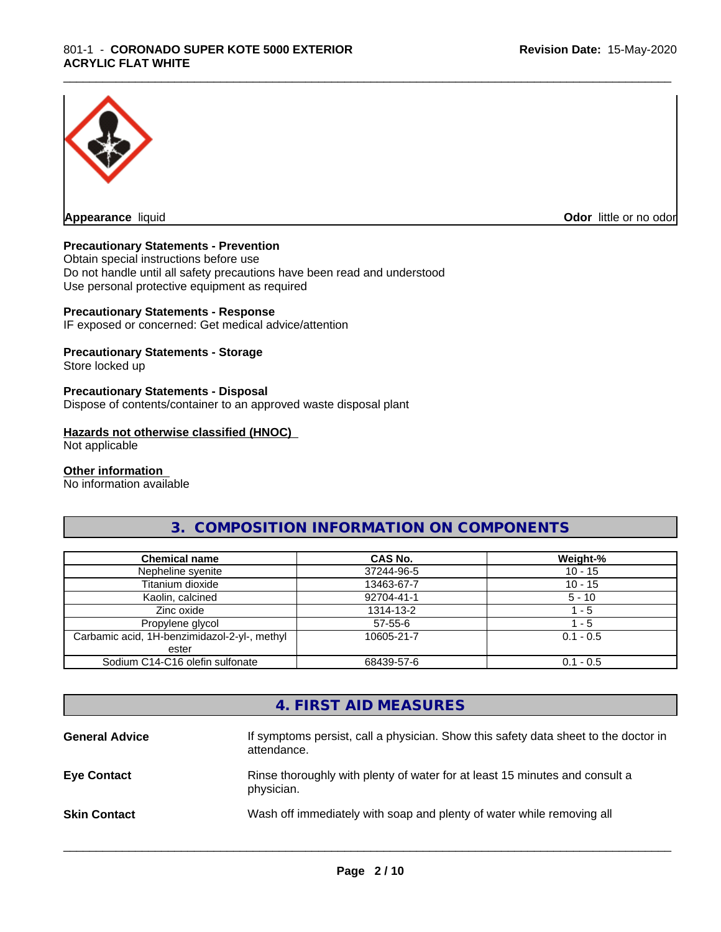

**Appearance** liquid **Odor in the original of the original of the original of the original of the original of the original of the original of the original of the original of the original of the original of the original of t** 

#### **Precautionary Statements - Prevention**

Obtain special instructions before use Do not handle until all safety precautions have been read and understood Use personal protective equipment as required

#### **Precautionary Statements - Response**

IF exposed or concerned: Get medical advice/attention

#### **Precautionary Statements - Storage**

Store locked up

#### **Precautionary Statements - Disposal**

Dispose of contents/container to an approved waste disposal plant

#### **Hazards not otherwise classified (HNOC)**

Not applicable

#### **Other information**

No information available

#### **3. COMPOSITION INFORMATION ON COMPONENTS**

\_\_\_\_\_\_\_\_\_\_\_\_\_\_\_\_\_\_\_\_\_\_\_\_\_\_\_\_\_\_\_\_\_\_\_\_\_\_\_\_\_\_\_\_\_\_\_\_\_\_\_\_\_\_\_\_\_\_\_\_\_\_\_\_\_\_\_\_\_\_\_\_\_\_\_\_\_\_\_\_\_\_\_\_\_\_\_\_\_\_\_\_\_

| <b>Chemical name</b>                         | <b>CAS No.</b> | Weight-%    |
|----------------------------------------------|----------------|-------------|
| Nepheline syenite                            | 37244-96-5     | $10 - 15$   |
| Titanium dioxide                             | 13463-67-7     | $10 - 15$   |
| Kaolin, calcined                             | 92704-41-1     | $5 - 10$    |
| Zinc oxide                                   | 1314-13-2      | - 5         |
| Propylene glycol                             | $57 - 55 - 6$  | - 5         |
| Carbamic acid, 1H-benzimidazol-2-yl-, methyl | 10605-21-7     | $0.1 - 0.5$ |
| ester                                        |                |             |
| Sodium C14-C16 olefin sulfonate              | 68439-57-6     | $0.1 - 0.5$ |

## **4. FIRST AID MEASURES**

| <b>General Advice</b> | If symptoms persist, call a physician. Show this safety data sheet to the doctor in<br>attendance. |
|-----------------------|----------------------------------------------------------------------------------------------------|
| <b>Eye Contact</b>    | Rinse thoroughly with plenty of water for at least 15 minutes and consult a<br>physician.          |
| <b>Skin Contact</b>   | Wash off immediately with soap and plenty of water while removing all                              |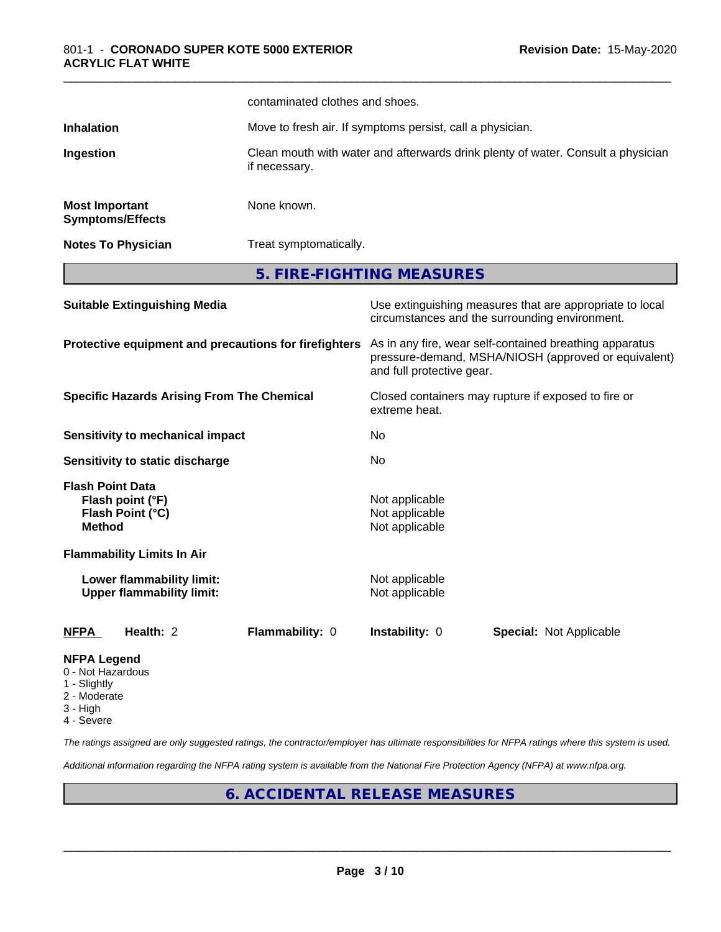|                                                                       |                                                               | contaminated clothes and shoes.                                                                                                              |                                                           |                                                                                                            |  |  |
|-----------------------------------------------------------------------|---------------------------------------------------------------|----------------------------------------------------------------------------------------------------------------------------------------------|-----------------------------------------------------------|------------------------------------------------------------------------------------------------------------|--|--|
| <b>Inhalation</b>                                                     |                                                               |                                                                                                                                              | Move to fresh air. If symptoms persist, call a physician. |                                                                                                            |  |  |
| Ingestion                                                             |                                                               | Clean mouth with water and afterwards drink plenty of water. Consult a physician<br>if necessary.                                            |                                                           |                                                                                                            |  |  |
| <b>Most Important</b>                                                 | <b>Symptoms/Effects</b>                                       | None known.                                                                                                                                  |                                                           |                                                                                                            |  |  |
|                                                                       | <b>Notes To Physician</b>                                     |                                                                                                                                              | Treat symptomatically.                                    |                                                                                                            |  |  |
|                                                                       |                                                               | 5. FIRE-FIGHTING MEASURES                                                                                                                    |                                                           |                                                                                                            |  |  |
|                                                                       | <b>Suitable Extinguishing Media</b>                           |                                                                                                                                              |                                                           | Use extinguishing measures that are appropriate to local<br>circumstances and the surrounding environment. |  |  |
| Protective equipment and precautions for firefighters                 |                                                               | As in any fire, wear self-contained breathing apparatus<br>pressure-demand, MSHA/NIOSH (approved or equivalent)<br>and full protective gear. |                                                           |                                                                                                            |  |  |
| <b>Specific Hazards Arising From The Chemical</b>                     |                                                               | Closed containers may rupture if exposed to fire or<br>extreme heat.                                                                         |                                                           |                                                                                                            |  |  |
|                                                                       | Sensitivity to mechanical impact                              |                                                                                                                                              | No                                                        |                                                                                                            |  |  |
|                                                                       | Sensitivity to static discharge                               |                                                                                                                                              | No                                                        |                                                                                                            |  |  |
| <b>Flash Point Data</b><br><b>Method</b>                              | Flash point (°F)<br>Flash Point (°C)                          |                                                                                                                                              | Not applicable<br>Not applicable<br>Not applicable        |                                                                                                            |  |  |
|                                                                       | <b>Flammability Limits In Air</b>                             |                                                                                                                                              |                                                           |                                                                                                            |  |  |
|                                                                       | Lower flammability limit:<br><b>Upper flammability limit:</b> |                                                                                                                                              | Not applicable<br>Not applicable                          |                                                                                                            |  |  |
| <b>NFPA</b>                                                           | Health: 2                                                     | Flammability: 0                                                                                                                              | Instability: 0                                            | <b>Special: Not Applicable</b>                                                                             |  |  |
| <b>NFPA Legend</b><br>0 - Not Hazardous<br>1 - Slightly<br>2 Moderate |                                                               |                                                                                                                                              |                                                           |                                                                                                            |  |  |

- 2 Moderate
- 3 High
- 4 Severe

*The ratings assigned are only suggested ratings, the contractor/employer has ultimate responsibilities for NFPA ratings where this system is used.*

*Additional information regarding the NFPA rating system is available from the National Fire Protection Agency (NFPA) at www.nfpa.org.*

#### **6. ACCIDENTAL RELEASE MEASURES**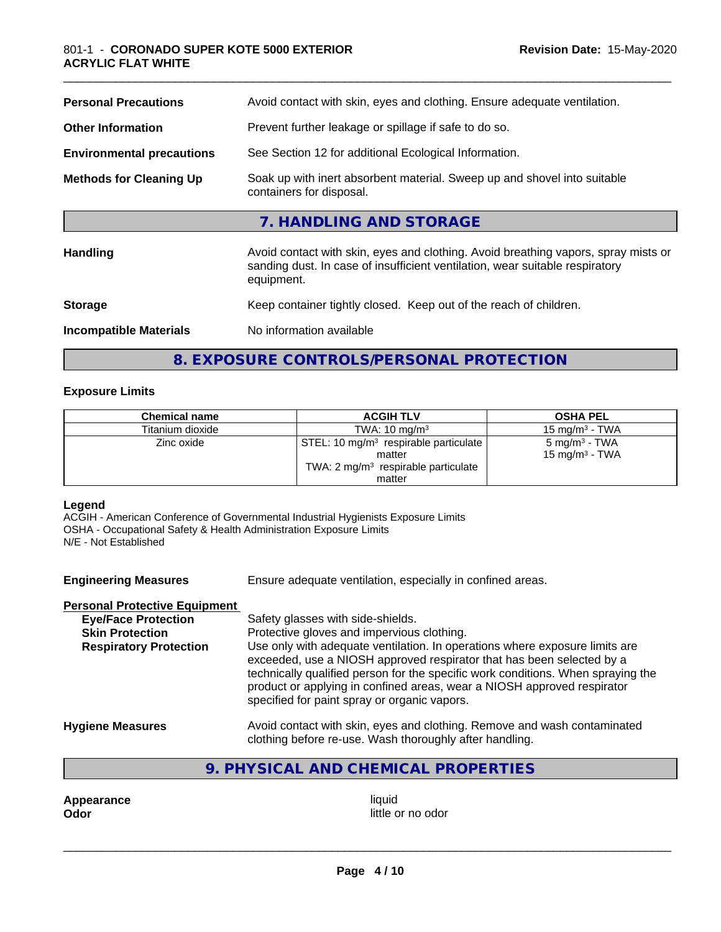| <b>Personal Precautions</b>      | Avoid contact with skin, eyes and clothing. Ensure adequate ventilation.                                                                                                         |
|----------------------------------|----------------------------------------------------------------------------------------------------------------------------------------------------------------------------------|
| <b>Other Information</b>         | Prevent further leakage or spillage if safe to do so.                                                                                                                            |
| <b>Environmental precautions</b> | See Section 12 for additional Ecological Information.                                                                                                                            |
| <b>Methods for Cleaning Up</b>   | Soak up with inert absorbent material. Sweep up and shovel into suitable<br>containers for disposal.                                                                             |
|                                  | 7. HANDLING AND STORAGE                                                                                                                                                          |
| <b>Handling</b>                  | Avoid contact with skin, eyes and clothing. Avoid breathing vapors, spray mists or<br>sanding dust. In case of insufficient ventilation, wear suitable respiratory<br>equipment. |
| <b>Storage</b>                   | Keep container tightly closed. Keep out of the reach of children.                                                                                                                |
| <b>Incompatible Materials</b>    | No information available                                                                                                                                                         |

### **8. EXPOSURE CONTROLS/PERSONAL PROTECTION**

#### **Exposure Limits**

| <b>Chemical name</b> | <b>ACGIH TLV</b>                                  | <b>OSHA PEL</b>            |
|----------------------|---------------------------------------------------|----------------------------|
| Titanium dioxide     | TWA: $10 \text{ ma/m}^3$                          | 15 mg/m $3$ - TWA          |
| Zinc oxide           | STEL: 10 mg/m <sup>3</sup> respirable particulate | $5 \text{ mg/m}^3$ - TWA   |
|                      | matter                                            | 15 mg/m <sup>3</sup> - TWA |
|                      | TWA: $2 \text{ mg/m}^3$ respirable particulate    |                            |
|                      | matter                                            |                            |

#### **Legend**

ACGIH - American Conference of Governmental Industrial Hygienists Exposure Limits OSHA - Occupational Safety & Health Administration Exposure Limits N/E - Not Established

| <b>Engineering Measures</b>          | Ensure adequate ventilation, especially in confined areas.                                                                                                                                                                                                                                                                                                          |
|--------------------------------------|---------------------------------------------------------------------------------------------------------------------------------------------------------------------------------------------------------------------------------------------------------------------------------------------------------------------------------------------------------------------|
| <b>Personal Protective Equipment</b> |                                                                                                                                                                                                                                                                                                                                                                     |
| <b>Eye/Face Protection</b>           | Safety glasses with side-shields.                                                                                                                                                                                                                                                                                                                                   |
| <b>Skin Protection</b>               | Protective gloves and impervious clothing.                                                                                                                                                                                                                                                                                                                          |
| <b>Respiratory Protection</b>        | Use only with adequate ventilation. In operations where exposure limits are<br>exceeded, use a NIOSH approved respirator that has been selected by a<br>technically qualified person for the specific work conditions. When spraying the<br>product or applying in confined areas, wear a NIOSH approved respirator<br>specified for paint spray or organic vapors. |
| <b>Hygiene Measures</b>              | Avoid contact with skin, eyes and clothing. Remove and wash contaminated<br>clothing before re-use. Wash thoroughly after handling.                                                                                                                                                                                                                                 |

#### **9. PHYSICAL AND CHEMICAL PROPERTIES**

**Appearance** liquid **Odor** 

little or no odor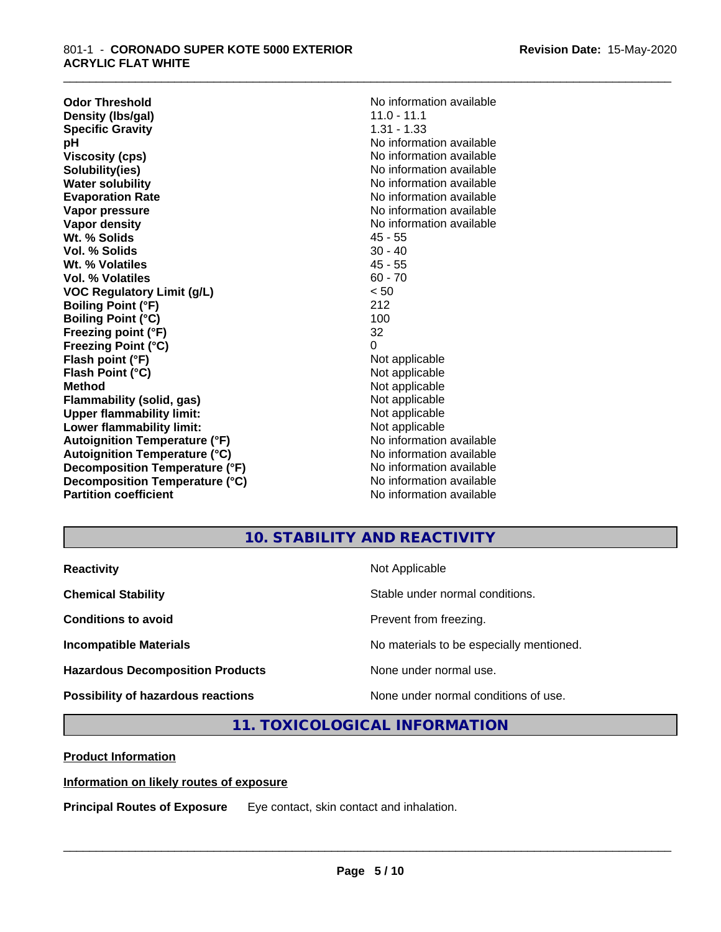**Odor Threshold**<br> **Density (Ibs/gal)**<br> **Density (Ibs/gal)**<br> **No information available**<br>  $\frac{11.0 - 11.1}{10 - 11.1}$ **Density (Ibs/gal)** 11.0 - 11.1<br> **Specific Gravity** 1.31 - 1.33 **Specific Gravity**<br>pH **Viscosity (cps)** No information available in the Viscosity (cps) **Solubility(ies)** No information available **Water solubility** No information available **Evaporation Rate No information available No information available Vapor pressure** No information available **No information** available **Vapor density No information available No information available Wt. % Solids** 45 - 55 **Vol. % Solids** 30 - 40 **Wt. % Volatiles** 45 - 55<br> **Vol. % Volatiles** 60 - 70 **Vol. % Volatiles VOC Regulatory Limit (g/L)** < 50 **Boiling Point (°F)** 212 **Boiling Point (°C) Freezing point (°F)** 32 **Freezing Point (°C)** 0 **Flash point (°F)** Not applicable **Flash Point (°C)** Not applicable **Method**<br> **Flammability (solid, gas)**<br> **Example 2018** Not applicable **Flammability** (solid, gas) **Upper flammability limit:**<br> **Lower flammability limit:**<br>
Not applicable<br>
Not applicable **Lower flammability limit:**<br> **Autoignition Temperature (°F)**<br>
Mo information available **Autoignition Temperature (°F) Autoignition Temperature (°C)** No information available **Decomposition Temperature (°F)** No information available **Decomposition Temperature (°C)** No information available **Partition coefficient** and the settlement of the settlement of the No information available

**No information available** 

\_\_\_\_\_\_\_\_\_\_\_\_\_\_\_\_\_\_\_\_\_\_\_\_\_\_\_\_\_\_\_\_\_\_\_\_\_\_\_\_\_\_\_\_\_\_\_\_\_\_\_\_\_\_\_\_\_\_\_\_\_\_\_\_\_\_\_\_\_\_\_\_\_\_\_\_\_\_\_\_\_\_\_\_\_\_\_\_\_\_\_\_\_

#### **10. STABILITY AND REACTIVITY**

| <b>Reactivity</b>                         | Not Applicable                           |
|-------------------------------------------|------------------------------------------|
| <b>Chemical Stability</b>                 | Stable under normal conditions.          |
| <b>Conditions to avoid</b>                | Prevent from freezing.                   |
| <b>Incompatible Materials</b>             | No materials to be especially mentioned. |
| <b>Hazardous Decomposition Products</b>   | None under normal use.                   |
| <b>Possibility of hazardous reactions</b> | None under normal conditions of use.     |

#### **11. TOXICOLOGICAL INFORMATION**

**Product Information**

#### **Information on likely routes of exposure**

**Principal Routes of Exposure** Eye contact, skin contact and inhalation.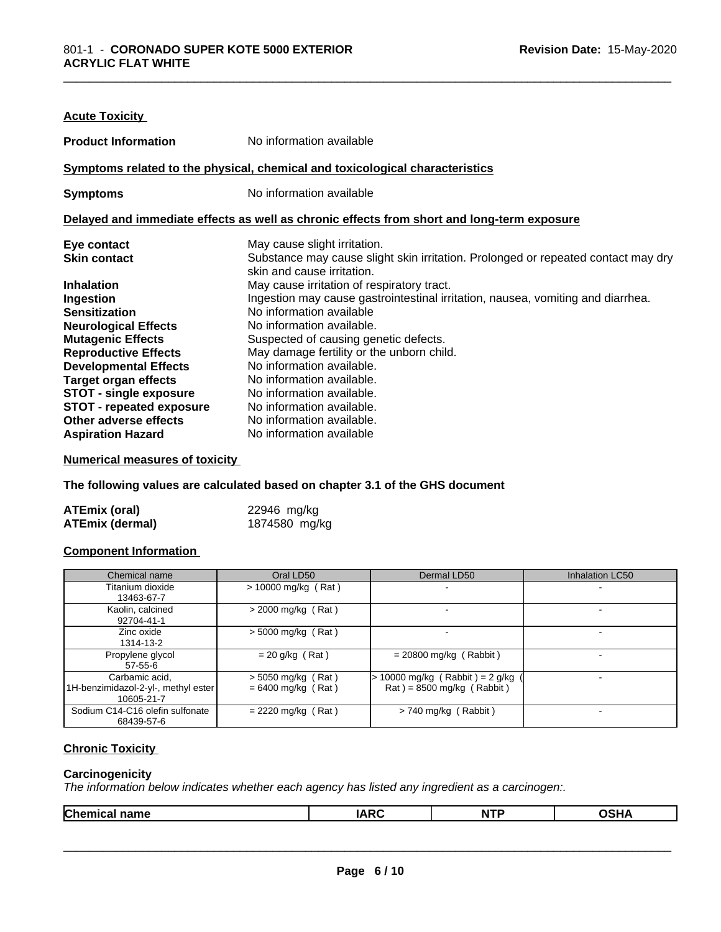| No information available                                                                                        |
|-----------------------------------------------------------------------------------------------------------------|
| Symptoms related to the physical, chemical and toxicological characteristics                                    |
| No information available                                                                                        |
| Delayed and immediate effects as well as chronic effects from short and long-term exposure                      |
| May cause slight irritation.                                                                                    |
| Substance may cause slight skin irritation. Prolonged or repeated contact may dry<br>skin and cause irritation. |
| May cause irritation of respiratory tract.                                                                      |
| Ingestion may cause gastrointestinal irritation, nausea, vomiting and diarrhea.                                 |
| No information available                                                                                        |
| No information available.                                                                                       |
| Suspected of causing genetic defects.                                                                           |
| May damage fertility or the unborn child.                                                                       |
| No information available.                                                                                       |
| No information available.                                                                                       |
| No information available.                                                                                       |
| No information available.                                                                                       |
| No information available.                                                                                       |
| No information available                                                                                        |
|                                                                                                                 |

#### **Numerical measures of toxicity**

**The following values are calculated based on chapter 3.1 of the GHS document**

| <b>ATEmix (oral)</b>   | 22946 mg/kg   |
|------------------------|---------------|
| <b>ATEmix (dermal)</b> | 1874580 mg/kg |

#### **Component Information**

| Chemical name                                                       | Oral LD50                                    | Dermal LD50                                                    | <b>Inhalation LC50</b> |
|---------------------------------------------------------------------|----------------------------------------------|----------------------------------------------------------------|------------------------|
| Titanium dioxide<br>13463-67-7                                      | $> 10000$ mg/kg (Rat)                        |                                                                |                        |
| Kaolin, calcined<br>92704-41-1                                      | $>$ 2000 mg/kg (Rat)                         |                                                                |                        |
| Zinc oxide<br>1314-13-2                                             | $>$ 5000 mg/kg (Rat)                         |                                                                |                        |
| Propylene glycol<br>$57 - 55 - 6$                                   | $= 20$ g/kg (Rat)                            | $= 20800$ mg/kg (Rabbit)                                       |                        |
| Carbamic acid,<br>1H-benzimidazol-2-yl-, methyl ester<br>10605-21-7 | $>$ 5050 mg/kg (Rat)<br>$= 6400$ mg/kg (Rat) | $10000$ mg/kg (Rabbit) = 2 g/kg<br>$Rat$ = 8500 mg/kg (Rabbit) |                        |
| Sodium C14-C16 olefin sulfonate<br>68439-57-6                       | $= 2220$ mg/kg (Rat)                         | $> 740$ mg/kg (Rabbit)                                         |                        |

#### **Chronic Toxicity**

#### **Carcinogenicity**

*The information below indicateswhether each agency has listed any ingredient as a carcinogen:.*

| Chemical<br>name | —<br>- 1<br>ın | n.<br>. | ``<br>. і г |  |
|------------------|----------------|---------|-------------|--|
|                  |                |         |             |  |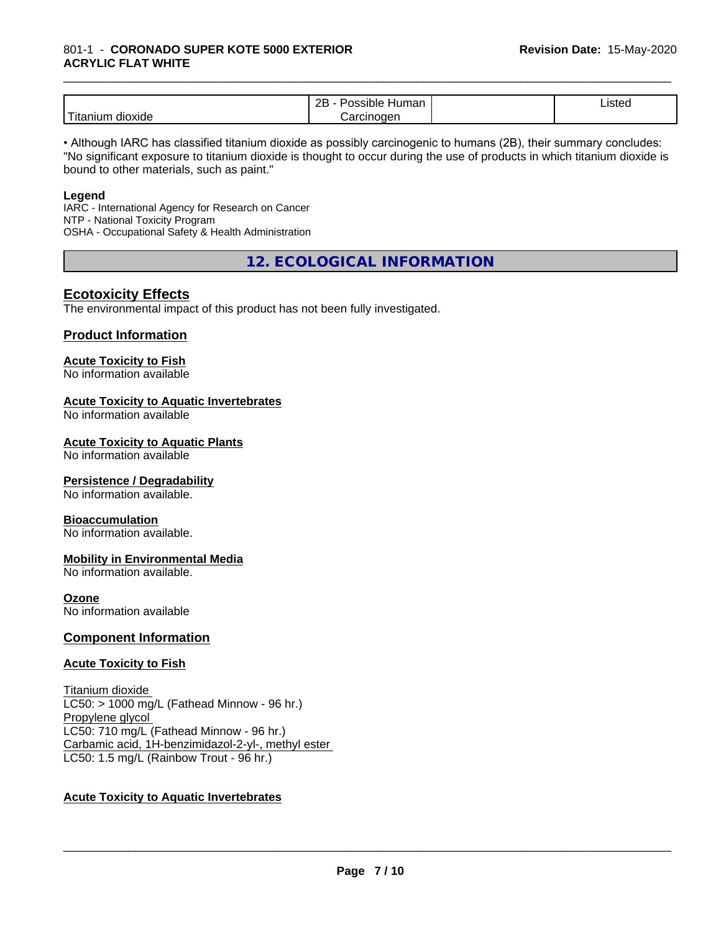#### \_\_\_\_\_\_\_\_\_\_\_\_\_\_\_\_\_\_\_\_\_\_\_\_\_\_\_\_\_\_\_\_\_\_\_\_\_\_\_\_\_\_\_\_\_\_\_\_\_\_\_\_\_\_\_\_\_\_\_\_\_\_\_\_\_\_\_\_\_\_\_\_\_\_\_\_\_\_\_\_\_\_\_\_\_\_\_\_\_\_\_\_\_ 801-1 - **CORONADO SUPER KOTE 5000 EXTERIOR ACRYLIC FLAT WHITE**

|                                  | ם מ<br>.<br>⊣umar.<br>зюе<br><u>_ _</u>  | $\overline{\phantom{a}}$<br>estec. '<br>$- - - - - -$ |
|----------------------------------|------------------------------------------|-------------------------------------------------------|
| $-$<br>___<br>dioxide<br>itanium | or.<br>ıoaer<br><b></b><br>″ اات<br>'ا0ت |                                                       |

• Although IARC has classified titanium dioxide as possibly carcinogenic to humans (2B), their summary concludes: "No significant exposure to titanium dioxide is thought to occur during the use of products in which titanium dioxide is bound to other materials, such as paint."

#### **Legend**

IARC - International Agency for Research on Cancer NTP - National Toxicity Program OSHA - Occupational Safety & Health Administration

**12. ECOLOGICAL INFORMATION**

#### **Ecotoxicity Effects**

The environmental impact of this product has not been fully investigated.

#### **Product Information**

#### **Acute Toxicity to Fish**

No information available

#### **Acute Toxicity to Aquatic Invertebrates**

No information available

#### **Acute Toxicity to Aquatic Plants**

No information available

#### **Persistence / Degradability**

No information available.

#### **Bioaccumulation**

No information available.

#### **Mobility in Environmental Media**

No information available.

#### **Ozone**

No information available

#### **Component Information**

#### **Acute Toxicity to Fish**

Titanium dioxide  $LC50:$  > 1000 mg/L (Fathead Minnow - 96 hr.) Propylene glycol LC50: 710 mg/L (Fathead Minnow - 96 hr.) Carbamic acid, 1H-benzimidazol-2-yl-, methyl ester LC50: 1.5 mg/L (Rainbow Trout - 96 hr.)

#### **Acute Toxicity to Aquatic Invertebrates**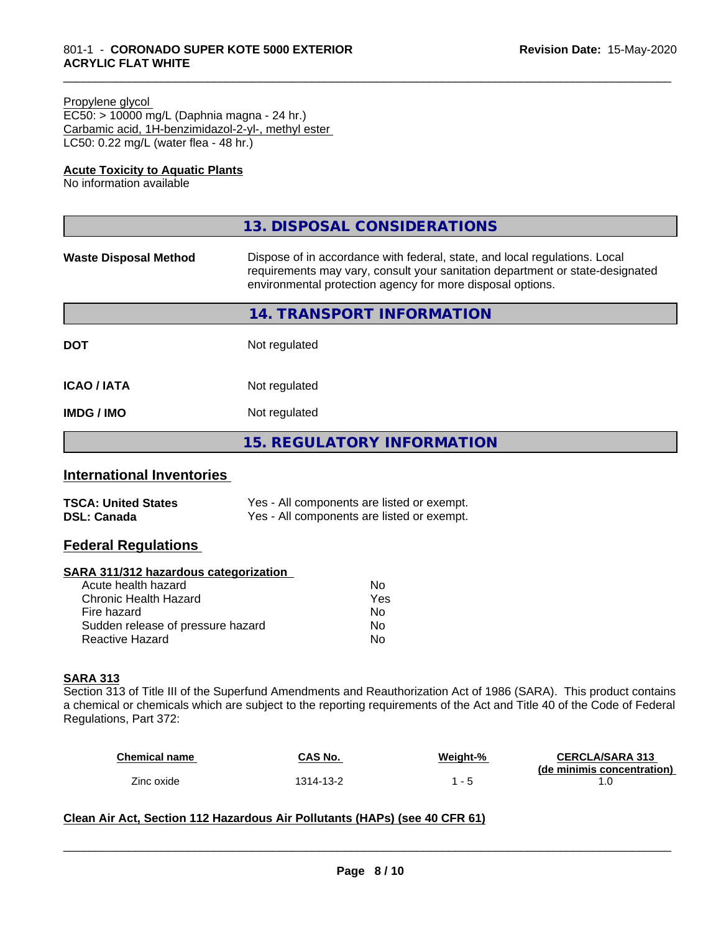#### Propylene glycol

EC50: > 10000 mg/L (Daphnia magna - 24 hr.) Carbamic acid, 1H-benzimidazol-2-yl-, methyl ester LC50: 0.22 mg/L (water flea - 48 hr.)

#### **Acute Toxicity to Aquatic Plants**

No information available

|                              | 13. DISPOSAL CONSIDERATIONS                                                                                                                                                                                               |
|------------------------------|---------------------------------------------------------------------------------------------------------------------------------------------------------------------------------------------------------------------------|
| <b>Waste Disposal Method</b> | Dispose of in accordance with federal, state, and local regulations. Local<br>requirements may vary, consult your sanitation department or state-designated<br>environmental protection agency for more disposal options. |
|                              | 14. TRANSPORT INFORMATION                                                                                                                                                                                                 |
| <b>DOT</b>                   | Not regulated                                                                                                                                                                                                             |
| <b>ICAO/IATA</b>             | Not regulated                                                                                                                                                                                                             |
| <b>IMDG/IMO</b>              | Not regulated                                                                                                                                                                                                             |
|                              | <b>15. REGULATORY INFORMATION</b>                                                                                                                                                                                         |

#### **International Inventories**

| <b>TSCA: United States</b> | Yes - All components are listed or exempt. |
|----------------------------|--------------------------------------------|
| <b>DSL: Canada</b>         | Yes - All components are listed or exempt. |

#### **Federal Regulations**

#### **SARA 311/312 hazardous categorization**

| No  |
|-----|
| Yes |
| N٥  |
| Nο  |
| N٥  |
|     |

#### **SARA 313**

Section 313 of Title III of the Superfund Amendments and Reauthorization Act of 1986 (SARA). This product contains a chemical or chemicals which are subject to the reporting requirements of the Act and Title 40 of the Code of Federal Regulations, Part 372:

| <b>Chemical name</b> | <b>CAS No.</b> | Weight-%                 | <b>CERCLA/SARA 313</b><br>(de minimis concentration) |
|----------------------|----------------|--------------------------|------------------------------------------------------|
| Zinc oxide           | 1314-13-2      | $\overline{\phantom{0}}$ |                                                      |

 $\overline{\phantom{a}}$  ,  $\overline{\phantom{a}}$  ,  $\overline{\phantom{a}}$  ,  $\overline{\phantom{a}}$  ,  $\overline{\phantom{a}}$  ,  $\overline{\phantom{a}}$  ,  $\overline{\phantom{a}}$  ,  $\overline{\phantom{a}}$  ,  $\overline{\phantom{a}}$  ,  $\overline{\phantom{a}}$  ,  $\overline{\phantom{a}}$  ,  $\overline{\phantom{a}}$  ,  $\overline{\phantom{a}}$  ,  $\overline{\phantom{a}}$  ,  $\overline{\phantom{a}}$  ,  $\overline{\phantom{a}}$ 

#### **Clean Air Act,Section 112 Hazardous Air Pollutants (HAPs) (see 40 CFR 61)**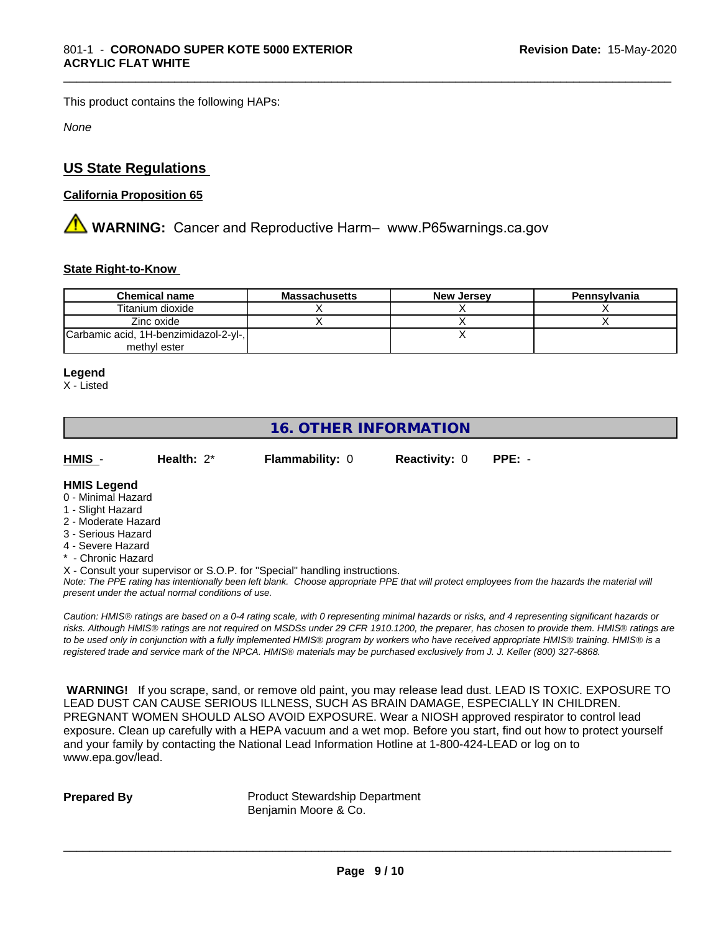This product contains the following HAPs:

*None*

#### **US State Regulations**

#### **California Proposition 65**

**AN** WARNING: Cancer and Reproductive Harm– www.P65warnings.ca.gov

#### **State Right-to-Know**

| <b>Chemical name</b>                  | Massachusetts | <b>New Jersey</b> | Pennsylvania |
|---------------------------------------|---------------|-------------------|--------------|
| Titanium dioxide                      |               |                   |              |
| Zinc oxide                            |               |                   |              |
| Carbamic acid, 1H-benzimidazol-2-yl-, |               |                   |              |
| methyl ester                          |               |                   |              |

\_\_\_\_\_\_\_\_\_\_\_\_\_\_\_\_\_\_\_\_\_\_\_\_\_\_\_\_\_\_\_\_\_\_\_\_\_\_\_\_\_\_\_\_\_\_\_\_\_\_\_\_\_\_\_\_\_\_\_\_\_\_\_\_\_\_\_\_\_\_\_\_\_\_\_\_\_\_\_\_\_\_\_\_\_\_\_\_\_\_\_\_\_

#### **Legend**

X - Listed

#### **16. OTHER INFORMATION**

**HMIS** - **Health:** 2\* **Flammability:** 0 **Reactivity:** 0 **PPE:** -

#### **HMIS Legend**

- 0 Minimal Hazard
- 1 Slight Hazard
- 2 Moderate Hazard
- 3 Serious Hazard
- 4 Severe Hazard
- \* Chronic Hazard
- X Consult your supervisor or S.O.P. for "Special" handling instructions.

*Note: The PPE rating has intentionally been left blank. Choose appropriate PPE that will protect employees from the hazards the material will present under the actual normal conditions of use.*

*Caution: HMISÒ ratings are based on a 0-4 rating scale, with 0 representing minimal hazards or risks, and 4 representing significant hazards or risks. Although HMISÒ ratings are not required on MSDSs under 29 CFR 1910.1200, the preparer, has chosen to provide them. HMISÒ ratings are to be used only in conjunction with a fully implemented HMISÒ program by workers who have received appropriate HMISÒ training. HMISÒ is a registered trade and service mark of the NPCA. HMISÒ materials may be purchased exclusively from J. J. Keller (800) 327-6868.*

 **WARNING!** If you scrape, sand, or remove old paint, you may release lead dust. LEAD IS TOXIC. EXPOSURE TO LEAD DUST CAN CAUSE SERIOUS ILLNESS, SUCH AS BRAIN DAMAGE, ESPECIALLY IN CHILDREN. PREGNANT WOMEN SHOULD ALSO AVOID EXPOSURE.Wear a NIOSH approved respirator to control lead exposure. Clean up carefully with a HEPA vacuum and a wet mop. Before you start, find out how to protect yourself and your family by contacting the National Lead Information Hotline at 1-800-424-LEAD or log on to www.epa.gov/lead.

**Prepared By** Product Stewardship Department Benjamin Moore & Co.